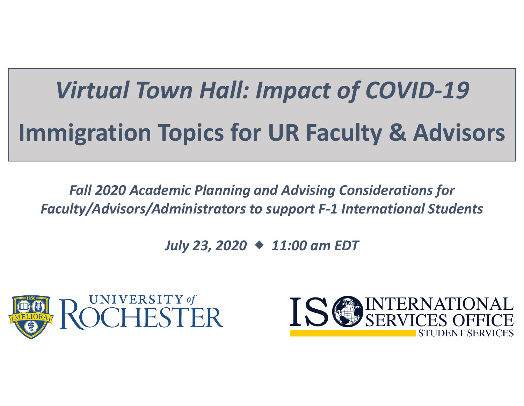# *Virtual Town Hall: Impact of COVID‐19* **Immigration Topics for UR Faculty & Advisors**

*Fall 2020 Academic Planning and Advising Considerations for Faculty/Advisors/Administrators to support F‐1 International Students*

*July 23, 2020 11:00 am EDT*



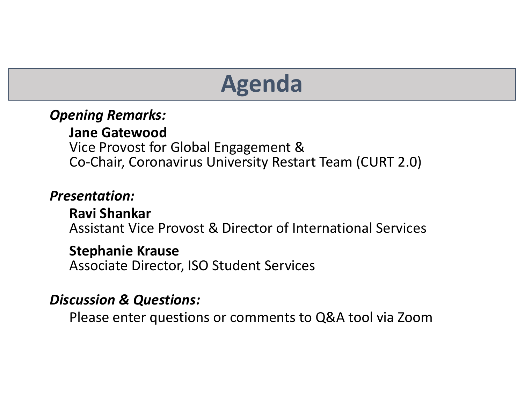## **Agenda**

### *Opening Remarks:*

### **Jane Gatewood**

Vice Provost for Global Engagement & Co‐Chair, Coronavirus University Restart Team (CURT 2.0)

### *Presentation:*

#### **Ravi Shankar**Assistant Vice Provost & Director of International Services

### **Stephanie Krause**

Associate Director, ISO Student Services

### *Discussion & Questions:*

Please enter questions or comments to Q&A tool via Zoom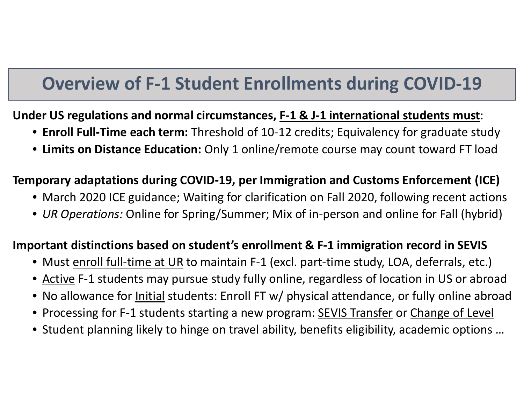### **Overview of F‐1 Student Enrollments during COVID‐19**

### **Under US regulations and normal circumstances, F‐1 & J‐1 international students must**:

- **Enroll Full‐Time each term:** Threshold of 10‐12 credits; Equivalency for graduate study
- **Limits on Distance Education:** Only 1 online/remote course may count toward FT load

### **Temporary adaptations during COVID‐19, per Immigration and Customs Enforcement (ICE)**

- March 2020 ICE guidance; Waiting for clarification on Fall 2020, following recent actions
- *UR Operations:* Online for Spring/Summer; Mix of in‐person and online for Fall (hybrid)

#### **Important distinctions based on student's enrollment & F‐1 immigration record in SEVIS**

- Must <u>enroll full-time at UR</u> to maintain F-1 (excl. part-time study, LOA, deferrals, etc.)
- <u>Active</u> F-1 students may pursue study fully online, regardless of location in US or abroad
- No allowance for <u>Initial</u> students: Enroll FT w/ physical attendance, or fully online abroad
- Processing for F-1 students starting a new program: <u>SEVIS Transfer</u> or <u>Change of Level</u>
- Student planning likely to hinge on travel ability, benefits eligibility, academic options …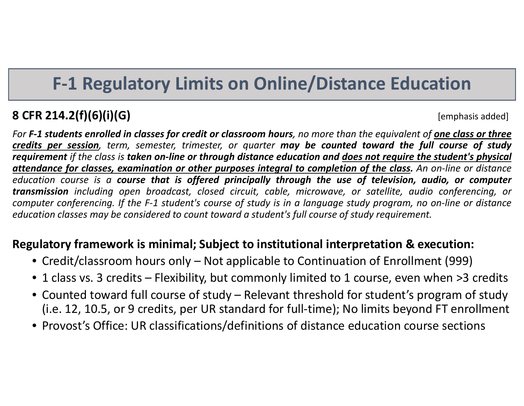### **F‐1 Regulatory Limits on Online/Distance Education**

### **8 CFR 214.2(f)(6)(i)(G)** [emphasis added]

For **F-1 students enrolled in classes for credit or classroom hours**, no more than the equivalent of <u>one class or three</u> credits per session, term, semester, trimester, or quarter may be counted toward the full course of study requirement if the class is taken on-line or through distance education and does not require the student's physical attendance for classes, examination or other purposes integral to completion of the class. An on-line or distance education course is a **course that is offered principally through the use of television, audio, or computer transmission** including open broadcast, closed circuit, cable, microwave, or satellite, audio conferencing, or computer conferencing. If the F-1 student's course of study is in a language study program, no on-line or distance education classes may be considered to count toward a student's full course of study requirement.

### **Regulatory framework is minimal; Subject to institutional interpretation & execution:**

- Credit/classroom hours only Not applicable to Continuation of Enrollment (999)
- 1 class vs. 3 credits Flexibility, but commonly limited to 1 course, even when >3 credits
- Counted toward full course of study Relevant threshold for student's program of study (i.e. 12, 10.5, or 9 credits, per UR standard for full‐time); No limits beyond FT enrollment
- Provost's Office: UR classifications/definitions of distance education course sections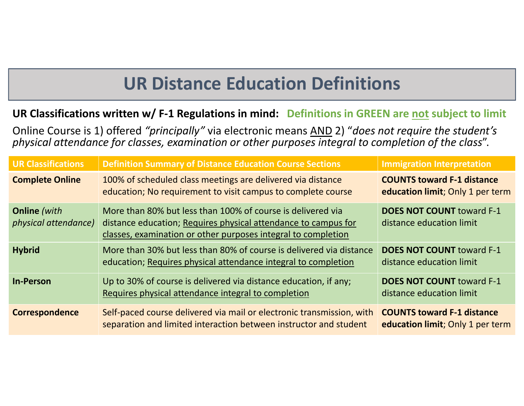### **UR Distance Education Definitions**

#### UR Classifications written w/ F-1 Regulations in mind: Definitions in GREEN are not subject to limit

Online Course is 1) offered *"principally"* via electronic means AND 2) "*does not require the student's physical attendance for classes, examination or other purposes integral to completion of the class*".

| <b>UR Classifications</b>                   | <b>Definition Summary of Distance Education Course Sections</b>                                                                                                                                | <b>Immigration Interpretation</b>                                     |
|---------------------------------------------|------------------------------------------------------------------------------------------------------------------------------------------------------------------------------------------------|-----------------------------------------------------------------------|
| <b>Complete Online</b>                      | 100% of scheduled class meetings are delivered via distance<br>education; No requirement to visit campus to complete course                                                                    | <b>COUNTS toward F-1 distance</b><br>education limit; Only 1 per term |
| <b>Online</b> (with<br>physical attendance) | More than 80% but less than 100% of course is delivered via<br>distance education; Requires physical attendance to campus for<br>classes, examination or other purposes integral to completion | <b>DOES NOT COUNT toward F-1</b><br>distance education limit          |
| <b>Hybrid</b>                               | More than 30% but less than 80% of course is delivered via distance<br>education; Requires physical attendance integral to completion                                                          | <b>DOES NOT COUNT toward F-1</b><br>distance education limit          |
| <b>In-Person</b>                            | Up to 30% of course is delivered via distance education, if any;<br>Requires physical attendance integral to completion                                                                        | <b>DOES NOT COUNT toward F-1</b><br>distance education limit          |
| <b>Correspondence</b>                       | Self-paced course delivered via mail or electronic transmission, with<br>separation and limited interaction between instructor and student                                                     | <b>COUNTS toward F-1 distance</b><br>education limit; Only 1 per term |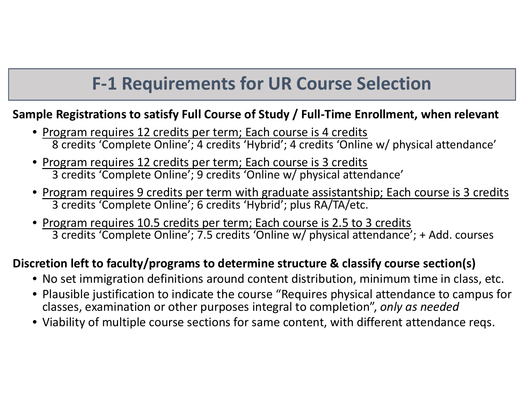### **F‐1 Requirements for UR Course Selection**

#### **Sample Registrations to satisfy Full Course of Study / Full‐Time Enrollment, when relevant**

- Program requires 12 credits per term; Each course is 4 credits 8 credits 'Complete Online'; 4 credits 'Hybrid'; 4 credits 'Online w/ physical attendance'
- Program requires 12 credits per term; Each course is 3 credits 3 credits 'Complete Online'; 9 credits 'Online w/ physical attendance'
- Program requires 9 credits per term with graduate assistantship; Each course is 3 credits 3 credits 'Complete Online'; 6 credits 'Hybrid'; plus RA/TA/etc.
- Program requires 10.5 credits per term; Each course is 2.5 to 3 credits 3 credits 'Complete Online'; 7.5 credits 'Online w/ physical attendance'; <sup>+</sup> Add. courses

### **Discretion left to faculty/programs to determine structure & classify course section(s)**

- No set immigration definitions around content distribution, minimum time in class, etc.
- Plausible justification to indicate the course "Requires physical attendance to campus for classes, examination or other purposes integral to completion", *only as needed*
- Viability of multiple course sections for same content, with different attendance reqs.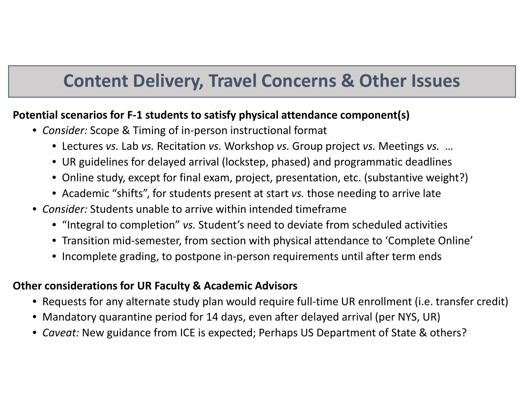### **Content Delivery, Travel Concerns & Other Issues**

#### **Potential scenarios for F‐1 students to satisfy physical attendance component(s)**

- *Consider:* Scope & Timing of in‐person instructional format
	- Lectures *vs.* Lab *vs.* Recitation *vs.* Workshop *vs.* Group project *vs.* Meetings *vs.* …
	- UR guidelines for delayed arrival (lockstep, phased) and programmatic deadlines
	- Online study, except for final exam, project, presentation, etc. (substantive weight?)
	- Academic "shifts", for students present at start *vs.* those needing to arrive late
- *Consider:* Students unable to arrive within intended timeframe
	- "Integral to completion" *vs.* Student's need to deviate from scheduled activities
	- Transition mid‐semester, from section with physical attendance to 'Complete Online'
	- Incomplete grading, to postpone in‐person requirements until after term ends

#### **Other considerations for UR Faculty & Academic Advisors**

- Requests for any alternate study plan would require full‐time UR enrollment (i.e. transfer credit)
- Mandatory quarantine period for 14 days, even after delayed arrival (per NYS, UR)
- *Caveat:* New guidance from ICE is expected; Perhaps US Department of State & others?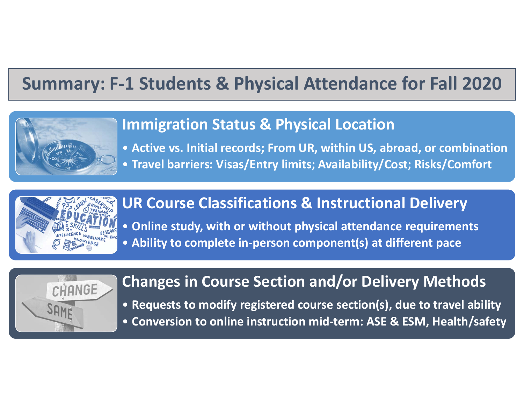### **Summary: F‐1 Students & Physical Attendance for Fall 2020**



### **Immigration Status & Physical Location**

- **Active vs. Initial records; From UR, within US, abroad, or combination**
- **Travel barriers: Visas/Entry limits; Availability/Cost; Risks/Comfort**



### **UR Course Classifications & Instructional Delivery**

- **Online study, with or without physical attendance requirements**
- **Ability to complete in‐person component(s) at different pace**



### **Changes in Course Section and/or Delivery Methods**

- **Requests to modify registered course section(s), due to travel ability**
- **Conversion to online instruction mid‐term: ASE & ESM, Health/safety**